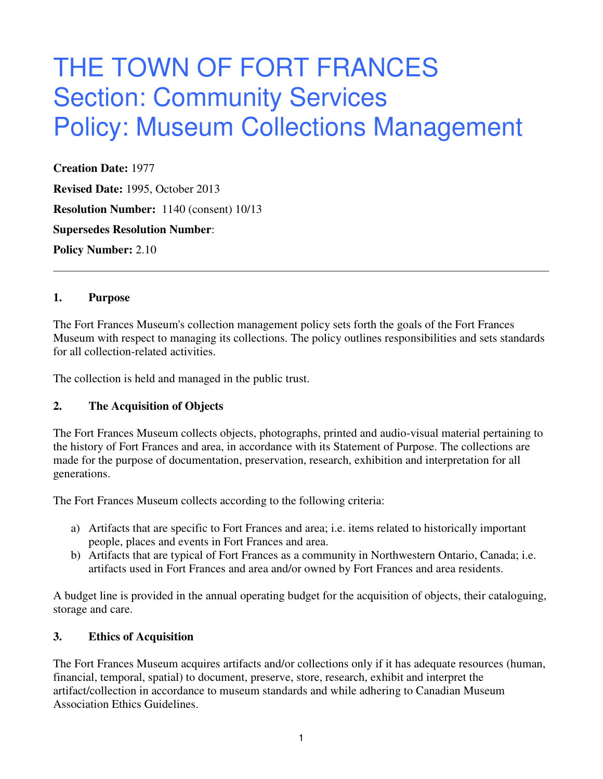# THE TOWN OF FORT FRANCES Section: Community Services Policy: Museum Collections Management

**Creation Date:** 1977 **Revised Date:** 1995, October 2013 **Resolution Number:** 1140 (consent) 10/13 **Supersedes Resolution Number**: **Policy Number:** 2.10

#### **1. Purpose**

The Fort Frances Museum's collection management policy sets forth the goals of the Fort Frances Museum with respect to managing its collections. The policy outlines responsibilities and sets standards for all collection-related activities.

The collection is held and managed in the public trust.

#### **2. The Acquisition of Objects**

The Fort Frances Museum collects objects, photographs, printed and audio-visual material pertaining to the history of Fort Frances and area, in accordance with its Statement of Purpose. The collections are made for the purpose of documentation, preservation, research, exhibition and interpretation for all generations.

The Fort Frances Museum collects according to the following criteria:

- a) Artifacts that are specific to Fort Frances and area; i.e. items related to historically important people, places and events in Fort Frances and area.
- b) Artifacts that are typical of Fort Frances as a community in Northwestern Ontario, Canada; i.e. artifacts used in Fort Frances and area and/or owned by Fort Frances and area residents.

A budget line is provided in the annual operating budget for the acquisition of objects, their cataloguing, storage and care.

#### **3. Ethics of Acquisition**

The Fort Frances Museum acquires artifacts and/or collections only if it has adequate resources (human, financial, temporal, spatial) to document, preserve, store, research, exhibit and interpret the artifact/collection in accordance to museum standards and while adhering to Canadian Museum Association Ethics Guidelines.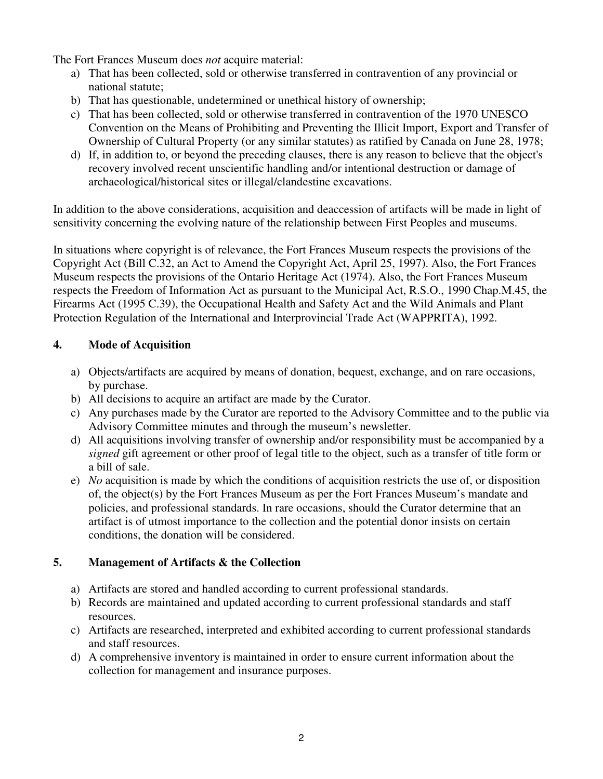The Fort Frances Museum does *not* acquire material:

- a) That has been collected, sold or otherwise transferred in contravention of any provincial or national statute;
- b) That has questionable, undetermined or unethical history of ownership;
- c) That has been collected, sold or otherwise transferred in contravention of the 1970 UNESCO Convention on the Means of Prohibiting and Preventing the Illicit Import, Export and Transfer of Ownership of Cultural Property (or any similar statutes) as ratified by Canada on June 28, 1978;
- d) If, in addition to, or beyond the preceding clauses, there is any reason to believe that the object's recovery involved recent unscientific handling and/or intentional destruction or damage of archaeological/historical sites or illegal/clandestine excavations.

In addition to the above considerations, acquisition and deaccession of artifacts will be made in light of sensitivity concerning the evolving nature of the relationship between First Peoples and museums.

In situations where copyright is of relevance, the Fort Frances Museum respects the provisions of the Copyright Act (Bill C.32, an Act to Amend the Copyright Act, April 25, 1997). Also, the Fort Frances Museum respects the provisions of the Ontario Heritage Act (1974). Also, the Fort Frances Museum respects the Freedom of Information Act as pursuant to the Municipal Act, R.S.O., 1990 Chap.M.45, the Firearms Act (1995 C.39), the Occupational Health and Safety Act and the Wild Animals and Plant Protection Regulation of the International and Interprovincial Trade Act (WAPPRITA), 1992.

#### **4. Mode of Acquisition**

- a) Objects/artifacts are acquired by means of donation, bequest, exchange, and on rare occasions, by purchase.
- b) All decisions to acquire an artifact are made by the Curator.
- c) Any purchases made by the Curator are reported to the Advisory Committee and to the public via Advisory Committee minutes and through the museum's newsletter.
- d) All acquisitions involving transfer of ownership and/or responsibility must be accompanied by a *signed* gift agreement or other proof of legal title to the object, such as a transfer of title form or a bill of sale.
- e) *No* acquisition is made by which the conditions of acquisition restricts the use of, or disposition of, the object(s) by the Fort Frances Museum as per the Fort Frances Museum's mandate and policies, and professional standards. In rare occasions, should the Curator determine that an artifact is of utmost importance to the collection and the potential donor insists on certain conditions, the donation will be considered.

## **5. Management of Artifacts & the Collection**

- a) Artifacts are stored and handled according to current professional standards.
- b) Records are maintained and updated according to current professional standards and staff resources.
- c) Artifacts are researched, interpreted and exhibited according to current professional standards and staff resources.
- d) A comprehensive inventory is maintained in order to ensure current information about the collection for management and insurance purposes.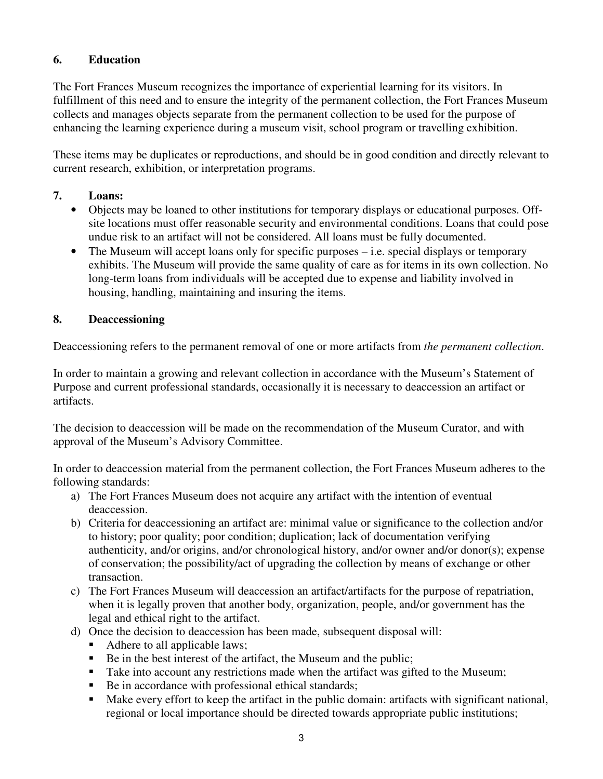# **6. Education**

The Fort Frances Museum recognizes the importance of experiential learning for its visitors. In fulfillment of this need and to ensure the integrity of the permanent collection, the Fort Frances Museum collects and manages objects separate from the permanent collection to be used for the purpose of enhancing the learning experience during a museum visit, school program or travelling exhibition.

These items may be duplicates or reproductions, and should be in good condition and directly relevant to current research, exhibition, or interpretation programs.

#### **7. Loans:**

- Objects may be loaned to other institutions for temporary displays or educational purposes. Offsite locations must offer reasonable security and environmental conditions. Loans that could pose undue risk to an artifact will not be considered. All loans must be fully documented.
- The Museum will accept loans only for specific purposes i.e. special displays or temporary exhibits. The Museum will provide the same quality of care as for items in its own collection. No long-term loans from individuals will be accepted due to expense and liability involved in housing, handling, maintaining and insuring the items.

## **8. Deaccessioning**

Deaccessioning refers to the permanent removal of one or more artifacts from *the permanent collection*.

In order to maintain a growing and relevant collection in accordance with the Museum's Statement of Purpose and current professional standards, occasionally it is necessary to deaccession an artifact or artifacts.

The decision to deaccession will be made on the recommendation of the Museum Curator, and with approval of the Museum's Advisory Committee.

In order to deaccession material from the permanent collection, the Fort Frances Museum adheres to the following standards:

- a) The Fort Frances Museum does not acquire any artifact with the intention of eventual deaccession.
- b) Criteria for deaccessioning an artifact are: minimal value or significance to the collection and/or to history; poor quality; poor condition; duplication; lack of documentation verifying authenticity, and/or origins, and/or chronological history, and/or owner and/or donor(s); expense of conservation; the possibility/act of upgrading the collection by means of exchange or other transaction.
- c) The Fort Frances Museum will deaccession an artifact/artifacts for the purpose of repatriation, when it is legally proven that another body, organization, people, and/or government has the legal and ethical right to the artifact.
- d) Once the decision to deaccession has been made, subsequent disposal will:
	- Adhere to all applicable laws;
	- $\blacksquare$  Be in the best interest of the artifact, the Museum and the public;
	- Take into account any restrictions made when the artifact was gifted to the Museum;
	- Be in accordance with professional ethical standards;
	- Make every effort to keep the artifact in the public domain: artifacts with significant national, regional or local importance should be directed towards appropriate public institutions;